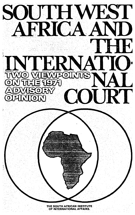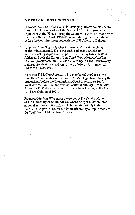#### NOTES ON CONTRIBUTORS

*Advocate D. P. de Vittiers, S.C.,* is Managing Director of Nasionale Pers Bpk. He was leader of the South African Government's legal team at the Hague during the South West Africa Cases before the International Court, 1960-1966, and during the proceedings before the Court in connection with the 1971 Advisory Opinion.

*Professor John Dugard* teaches international law at the University of the Witwatersrand. He is the author of many articles on international legal questions, in. particular relating to South West Africa, and he is the Editor of *The South West Africa/Namibia Dispute* (Documents and Scholarly Writings on the Controversy Between South Africa and the United Nations), University of California Press, 1973.

*Advocate E. M. Grosskopf, S.C.,* is a member of the Cape Town Bar. He was a member of the South African legal team during the proceedings before the International Court in regard to South. West Africa, 1960-66, and was co-leader of the legal team, with Advocate D. P. de Villiers, in the proceedings leading to the Court's Advisory Opinion of 1971.

*Professor Marinus Wiechers* is a member of the Faculty of Law of the University of South Africa, where he specialises in international and constitutional law. He has written widely in these fields and, in particular, on the international legal implications of the South West Africa/Namibia issue.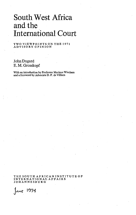# South West Africa and the International Court

#### TWO VIEWPOINTS ON THE 1971 ADVISORY OPINION

John Dugard E.M.Grosskopf

With an introduction by Professor Marinus Wiechers and a foreword by Advocate D. P. de Villiers

THE SOUTH AFRICAN INSTITUTE OF INTERNATIONAL AFFAIRS JOHANNESBURG

June 1974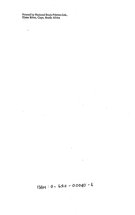Printed by National Book Printers Ltd., Elsies River, Cape, South Africa

 $\ddot{\phantom{a}}$ 

.,

$$
158N: 0 - 620 - 00040 = 6
$$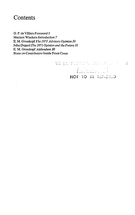## **Contents**

D. P. de Villiers *Foreword 5* Marinus Wiechers *Introduction 7* E. M. Grosskopf *The 1971 Advisory Opinion 10* John Dugard *The 1971 Opinion and the Future 16* E. M. Grosskopf *Addendum 30 Notes on Contributors* Inside Front Cover

> WE SAN REGIST MADA SHOWER  $\sim$  5 Leinbeten and NOT TO BE REMOVED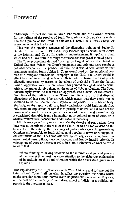### Foreword

"Although I respect the humanitarian sentiments and the avowed concern for the welfare of the peoples of South West Africa which so clearly underline the Opinion of the Court in this case, I cannot as a jurist accept the reasoning on which it is based."

This was the opening sentence of the dissenting opinion of Judge Sir Gerald Fitzmaurice in the 1971 Advisory Proceedings on South West Africa in the International Court. In masterly understatement it typified a clash which had run like a refrain through the forensic exchanges of some 21 years.

The Court proceedings derived from highly charged political disputes at the United Nations: indeed the Court's judgments and opinions were sought as potential weapons in the political warfare. So it was almost inevitable that arguments against South Africa in Court would feed on the emotional content of a rampant anti-colonial campaign at the U.N. The Court would in effect be urged to arrive at certain results in order to better the lot of people allegedly oppressed by reason of the colour of their skins. Even the factual basis of oppression would often be taken for granted, though denied by South Africa, the arguer simply relying on the terms of U.N. resolutions. The South African reply would be that such an approach was a denial of the essential disciplines of the judicial process. Those disciplines required that disputed allegations of fact should be proved, which meant that they could not be assumed to be true on the mere say-so of majorities in a political body. Similarly, so the reply would run, legal conclusions could legitimately flow only from an application of established principles of law, and it was not the business of a court to alter or ignore these in order to arrive at a result which it considered desirable from a humanitarian or political point of view, or to avoid a result which it considered undesirable in those ways.

AH this may sound very elementary. Yet the thrust-and-parry along these lines was not confined to the well of the Court: it was all too evident on the bench itself. Repeatedly the reasoning of judges who gave Judgements or Opinions unfavourable to South Africa (and popular in terms of ruling political sentiments at the U.N.) was attacked by colleagues as being based on unwarranted assumptions, question-begging and legally invalid criteria. In voicing one of these criticisms in 1971, Sir Gerald Fitzmaurice went so far as to warn that

"those thinking of having recourse to the international judicial process at the present time must pay close attention to the elaborate explanation of its attitude on this kind of matter which the Court itself gives in its Opinion."

This explains why the litigation on South West Africa is said to have put the International Court itself on trial. In effect the question for States which might consider submitting themselves to its jurisdiction is whether they can, on the part of the majority of the judges, expect a judicial or a political approach to the question at issue.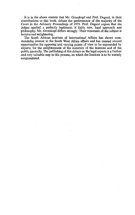It is in the above context that Mr. Grosskopf and Prof. Dugard, in their contributions to this book, debate the performance of the majority of the Court in the Advisory Proceedings of 1971. Prof. Dugard argues that the judges applied a perfectly legitimate, if fairly new, legal approach and philosophy. Mr. Grosskopf differs strongly. Their treatment of the subject is incisive and enlightening.

The South African Institute of International Affairs has shown commendable interest in the South West Africa affairs and has created several opportunities for opposing and varying points of view to be expounded by experts, for the enlightenment of the members of the Institute and of the public generally. The publishing of this debate on the legal aspects is a further and very valuable step in this process, on which the Institute is to be warmly congratulated.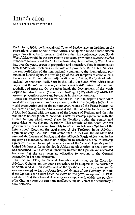### Introduction

MARINUSWIECHERS

On 11 June, 1950, the International Court of Justice gave an Opinion on the international status of South West Africa. The Opinion ran to a mere sixteen pages. Was it to be foreseen at that time that the controversy over South West Africa would, in the next twenty-one years, grow into the *cause celèbre* of modern international law? The territorial dispute about South West Africa has, over the years, grown in proportion and dimension. Now it encompasses such fundamental problems as the rôle and powers of the United Nations, the responsibilities of the international community, the international protection of human rights, the breaking up of the last ramparts of colonial rule, the relevance of international adjudication and, finally, the basis of international co-operation itself. Seen in this light, the South West Africa issue may afford the solution to many key issues which still obstruct international goodwill and progress. On the other hand, the development of the whole dispute can also be seen by some as a prolonged petty obstinacy which has assumed proportions above and beyond its intrinsic importance.

Since the creation of the United Nations in 1945, the dispute about South West Africa has run a tumultuous course, both in the debating halls of the world organisation and in the austere court rooms of the Peace Palace. As far back as 1946, South Africa insisted that the mandate for South West Africa had lapsed with the demise of the League of Nations, and that she was under no obligation to conclude a new trusteeship agreement with the United Nations which would place the Territory under the control and supervision of the General Assembly. This attitude of the South African government led the General Assembly to ask for an Advisory Opinion of the International Court on the legal status of the Territory. In its Advisory Opinion of July 1950, the Court stated that, in its view, the mandate had survived the League of Nations and that although South Africa was, in her capacity as mandatory, under no obligation to conclude a new trusteeship agreement, she had to accept the supervision of the General Assembly of the United Nations as far as the South African administration of the Territory was concerned. South Africa immediately rejected the Opinion and reiterated her view that she was under no obligation to account to the General Assembly for her administration.

In 1955 and 1956, the General Assembly again called on the Court for Advisory Opinions on the voting procedure to be adopted in the Assembly on South West African matters and on the question of whether the Assembly was empowered to hear petitions from inhabitants of the Territory. In both these Opinions the Court based its views on the previous opinion of 1950, and stated that the General Assembly was empowered, within the purview of its Charter powers, to carry out an effective supervision of the Mandatory's administration.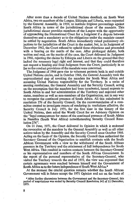After more than a decade of United Nations deadlock on South West Africa, two ex-members of the League, Ethiopia and Liberia, were requested by the General Assembly, in 1959, to institute litigious proceedings against South Africa in terms of the jurisdictional clause of the mandate. This jurisdictional clause provides members of the League with the opportunity of approaching the International Court for a Judgment if a dispute between themselves and a mandatory as to the obligations under the mandate cannot be settled by negotiation. South Africa immediately raised preliminary objections to the jurisdiction of the Court in the matter, but, in its Judgment of December 1962, the Court refused to uphold these objections and proceeded with a hearing on the merits of the case. After prolonged debate, both written and oral, on the merits of the case, the Court delivered its Judgment in 1966, rejecting the claims by Ethiopia and Liberia on the ground that they lacked the necessary legal right and interest, and that they could therefore not request a binding and final Judgment from the Court, particularly in so far as the conduct provisions of the mandate were concerned.

The Judgment of 1966 gave rise to vehement protests both in and outside United Nations circles, and in October 1966, the General Assembly took the unprecedented step of revoking the mandate for South West Africa and assuming United Nations responsibility for the Territory. In a series of ensuing resolutions, the General Assembly and the Security Council, acting on the assumption that the mandate had been terminated, issued requests to South Africa to end her administration of the Territory and enjoined other states, members as well as non-members of the Organisation, not in any way to recognise the continued presence of South Africa. AH this culminated in resolution 276 of the Security Council. On the recommendation of a committee created to investigate means of rendering its resolutions effective, the Security Council in July 1970, for the first time in the history of the United Nations, then asked the World Court for an Advisory Opinion on the "legal consequences for states of the continued presence of South Africa in Namibia (South West Africa) notwithstanding Security Council Resolution 276".

On 21 June, 1971, the Court delivered its Opinion in which it endorsed the revocation of the mandate by the General Assembly as well as all other actions taken by the Assembly and the Security Council since October 1966. Acting on the basis of the Opinion, the Security Council then authorised the Secretary General of the Organisation to establish contacts with the South African Government with a view to the withdrawal of the South African presence in the Territory and the attainment of full independence for South West Africa. This resulted in various contacts between the Secretary-General or his representatives and members of the South African Government. In the report of the personal representative of the Secretary-General, who visited the Territory towards the end of 1972, the view was expressed that certain agreements were reached between himself and the Government of South Africa as to the future independence of South West Africa.\*

At the moment the crucial question remains whether the South African Government will in future accept the 1971 Opinion and act on the basis of

\* After further discussions between the Government and the Secretary-General, this period of negotiations was ended by Security Council Resolution 342 of 11 December, 1973.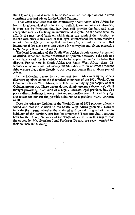that Opinion, just as it remains to be seen whether that Opinion did in effect constitute practical advice for the United Nations.

It has often been said that the controversy about South West Africa has for too long been cloaked in intricate, legalistic idiom and niceties. However, it must not be forgotten that law does still provide the best and most acceptable means of solving an international dispute. At the same time law affords the most solid basis on which states can conduct their foreign relations with other states. Seen in that light, international law is not merely a set of rules which can be applied mechanically; it must be realised that international law also serves as a vehicle for conveying and giving expression to philosophical and moral values.

The legal foundation of the South West Africa dispute cannot be ignored or denied. What can create differences of opinion, however, is the role and characteristics of the law which has to be applied in order to solve that dispute. For us here in South Africa and South West Africa, these differences of opinion are not merely manifestations of an abstract academic debate, since they relate directly to our own position in this southern part of Africa.

In the following papers by two eminent South African lawyers, widely divergent opinions about the theoretical soundness of the 1971 World Court Opinion on South West Africa, as well as the underlying philosophy of that Opinion, are set out. These papers do not simply present a theoretical, albeit thought-provoking, discussion of a highly intricate legal problem, but also pose a direct challenge to every thinking, responsible South African to judge and assess for himself the possible solutions to a problem which concerns us all.

Does the Advisory Opinion of the World Court of 1971 propose a legally sound and realistic solution to the South West Africa problem? Does it indicate the means whereby the material and moral progress of the inhabitants of the Territory can best be promoted? These are vital questions both for the United Nations and for South Africa. It is in this regard that the papers by Mr. Grosskopf and Professor Dugard are recommended for their acumen and learning.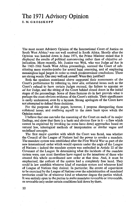# The 1971 Advisory Opinion

**E. M. GROSSKOPF**

The most recent Advisory Opinion of the International Court of Justice on South West Africa,<sup>1</sup> was not well received in South Africa. Shortly after the Opinion was handed down in June 1971, the Prime Minister stated that it displayed the results of political manoeuvring rather than of objective adjudication. More recently, Mr. Justice van Wyk, who was Judge *ad hoc* in the 1962-1966 South West Africa proceedings, accused the Court of substituting mere mumbo-jumbo for sound legal reasoning, and of employing meaningless legal jargon in order to reach predetermined conclusions. These are strong words. One may well ask oneself: Were they justified?

Both the speakers mentioned above supported their assessments of the Court's performance by referring to, *inter alia,* collateral issues such as the Court's refusal to have certain Judges recused, the failure to appoint an *ad hoc* Judge, and the sitting of the Court behind closed doors in the initial stages of the proceedings. Some of these features do in fact provide what is perhaps the most obvious evidence of the Court's attitude. Their significance is easily understood, even by a layman. Strong apologists of the Court have not attempted to defend these decisions.

For the purposes of this paper, however, I propose disregarding these collateral issues, and confining myself to the main basis upon which the Opinion rested.

I believe that one can take the reasoning of the Court on each of its major findings, and show that there is a basic and obvious flaw in  $it - a$  flaw which cannot be explained by invoking (as some have done) approaches based on natural law, teleological methods of interpretation or similar vague and undefined concepts.

The first major question with which the Court was faced, was whether the Council of the League of Nations had the power to revoke a mandate. The mandate system was established after the First World War as part of the new international order which would operate under the aegis of the League of Nations - indeed the mandate system was embodied in Article 22 of the Covenant of the League. In determining what the incidents of the mandate system were, one must therefore have regard to the intentions of those who created this whole co-ordinated new order at that time. And, it must be emphasised, the authors of the system had a completely free hand. They could in law establish whatever kind of mandate system and whatever kind of League of Nations they desired. In particular, the extent of supervision to be exercised by the League of Nations over the administration of mandated territories could be of whatever kind or whatever degree the parties wished. It was entirely open to the parties to make mandates revocable or irrevocable, or revocable only under certain conditions laid down by them.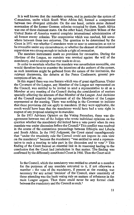It is well known that the mandate system, and in particular the system of C-mandates, under which South West Africa fell, formed a compromise between two divergent attitudes. On the one hand, certain states claimed annexation of the former German colonies occupied by them. South Africa was one of these claimant states. On the other hand. President Wilson of the United States of America wanted complete international administration of all former enemy colonies. The compromise which was reached, fell somewhere between these two extremes. The question to be determined by the Court in 1971 was whether C-mandates were so near to annexation as not to be revocable under any circumstances, or whether the element of international supervision was strong enough to include a right of revocation.

The mandate instruments made no provision for revocation. During the life-time of the League, no mandate was revoked against the will of the mandatory, and no attempt was ever made to do so.

In order to ascertain whether the mandate was nevertheless revocable, one would therefore have to examine the intentions of the authors of the system, as such intentions might be gathered from the nature of the institution, the relevant documents, the debates at the Peace Conference, general presumptions of law, etc.

In this regard there was one feature which was of great significance. Under the Covenant of the League, any Member of the League not represented on the Council, was entitled to be invited to send a representative to sit as a Member at any meeting of the Council during the consideration of matters specially affecting the interests of that Member of the League. And decisions of the Council required the agreement of all the Members of the League represented at the meeting. There was nothing in the Covenant to indicate that these provisions did not apply to mandates. If they were applicable, the result would have been that the mandatory would have had a veto right in respect of any proposal relating to its mandate.

In the 1955 Advisory Opinion on the Voting Procedure, there was disagreement between two of the Judges who wrote individual opinions on the question whether the mandatory did indeed have a veto power when its own mandate was under discussion before the Council.<sup>2</sup> This conflict was resolved in the course of the contentious proceedings between Ethiopia and Liberia and South Africa. In the 1962 Judgment, the Court stated unambiguously that "under the unanimity rule the Council could not impose its own view on the mandatory" because the mandatory "was entitled to send a representative to such a meeting to take part in the discussion and to vote".<sup>8</sup> This finding of the Court formed an essential link in its reasoning leading to the conclusion that the Court had jurisdiction in that matter. The finding was confirmed by the differently constituted Court in 1966. Then the Court said:

In the Council, which the mandatory was entitled to attend as a member for the purposes of any mandate entrusted to it, if not otherwise a member – the vote of the mandatory, if present at the meeting, was necessary for any actual 'decision' of the Council, since unanimity of those attending was the basic voting rule on matters of substance in the main League organs. Thus there could never be any formal clash between the mandatory and the Council as such.<sup>4</sup>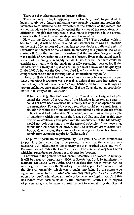There are also other passages to the same effect.

The unanimity principle applying to the Council, must, to put it at its lowest, surely be a feature militating very strongly against any notion that mandates were intended to be revocable. If the authors of the system had wished mandates to be revocable against the wishes of the mandatory, it is difficult to imagine that they would have made it impossible in the normal course for the Council to exercise its power of revocation.

How did the Court deal with this topic in 1971? The question which it had to decide, it will be borne in mind, was whether there was an intention on the part of the authors of the mandate to provide for a unilateral right of revocation on the part of the Council. In answering this question, the Court started off from the premise or postulate that the mandate being a Treaty, was capable of revocation in the event of a breach. Even as the initial step in a chain of reasoning, it is highly debatable whether the mandate could be considered a treaty with the incidents usually pertaining thereto, for if the mandate were a treaty at all, it was certainly one of a novel and unique type. In the 1962 Judgment the Court described it as "a special type of instrument composite in nature and instituting a novel international regime".<sup>6</sup>

However, if the Court had commenced its reasoning by saying that *prima facie* a mandate instrument was revocable, unless there were indications to the contrary, it would have been a comprehensible attitude, even though all lawyers might not have agreed therewith. But the Court did not approach the matter in this way at all. For it said:

It has been suggested that, even if the Council of the League had possessed the power of revocation of the Mandate in an extreme case, it could not have been exercised unilaterally but only in co-operation with the mandatory Power. However, revocation could only result from a situation in which the Mandatory had committed a serious breach of the obligations it had undertaken. To contend, on the basis of the principle of unanimity which applied in the League of Nations, that in this case revocation could only take place with the concurrence of the Mandatory, would not only run contrary to the general principle of law governing termination on account of breach, but also *postulate an impossibility.* For obvious reasons, the consent of the wrongdoer to such a form of termination cannot be required.<sup>6</sup> (Italics added)

The phrase "postulate an impossibility" is a gem. The Court commences to postulate that which has to be proved, namely that the mandate was revocable. All indications to the contrary are then brushed aside, and why? Because they contradict the Court's premise. There must be very few Courts which have ever been so obvious in their question-begging.

I now turn to the powers of the General Assembly. The General Assembly, it will be recalled, purported in 1966, in Resolution 2145, to terminate the mandate for South West Africa and to declare that South Africa has no other right to administer the Territory. It would appear to be obvious that the General Assembly, which was brought into being by the states who signed or acceded to the Charter, can have only such powers as are bestowed upon it by the Charter either expressly or by necessary implication. And this has indeed often been so stated by the International Court, also in respect of powers sought to be exercised with respect to mandates by the General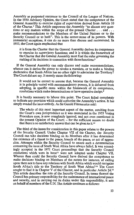Assembly as purported successor to the Council of the League of Nations. In the 1950 Advisory Opinion, the Court stated that the competence of the General Assembly to exercise rights of supervision derived from Article 10 of the Charter.<sup>7</sup> This Article empowers the Assembly "to discuss any questions or any matters within the scope of the present Charter . . . and . . . make recommendations to the Members of the United Nations or to the Security Council or to both". This is the corner-stone of its powers. With immaterial exceptions, it can do no more than discuss and recommend. In 1955, the Court again emphasised that

it is from the Charter that the General Assembly derives its competence to exercise its supervisory *functions;* and it is within the framework of the Charter that the General Assembly must find the rules governing the making of its decisions in connection with those functions.<sup>8</sup>

If the General Assembly can only discuss and make recommendations, whence can it derive the power to revoke a mandate, or to make a binding declaration that South Africa has no other right to administer the Territory? The Court did not say. It merely states the following:

It would not be correct to assume that, because the General Assembly is in principle vested with recommendatory powers, it is debarred from adopting, in specific cases within the framework of its competence, resolutions which make determinations or have operative design.<sup>9</sup>

It is hardly necessary to labour this point. The Court failed completely to indicate any provision which could authorise the Assembly's action. It has simply evaded the issue entirely. As Sir Gerald Fitzmaurice said:

The whole of this most important aspect of the matter, resulting from the Court's own jurisprudence as it was enunciated in the 1955 Voting Procedure case, is now completely ignored, and not even mentioned in the present Opinion of the Court; - for the sufficient reason no doubt that there is no satisfactory answer that can be given to it.<sup>10</sup>

The third of the issues for consideration in this paper relates to the powers of the Security Council. Under Chapter VII of the Charter, the Security Council can take decisions binding on its Members after it has determined the existence of a threat to the peace, breach of the peace, or act of aggression. Attempts within the Security Council to secure such a determination concerning the issue of South West Africa have always failed. It was accordingly accepted in the 1971 Court proceedings that the Security Council resolutions which were in issue<sup>11</sup> were not adopted under Chapter VII. Whence then could the Security Council have derived the competence to make decisions binding on Members of the nature for instance, of calling upon them not to have any relations with South Africa which would recognise South Africa's title to the Territory of South West Africa?<sup>12</sup> The Court sought to find it in Chapter V of the Charter, and in particular Article 24.<sup>13</sup> This article describes the role of the Security Council. In terms thereof the Council has primary responsibility for the maintenance of international peace and security, and in carrying out its duties under this responsibility, it acts on behalf of members of the U.N. The Article continues as follows: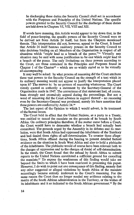In discharging these duties the Security Council shall act in accordance with the Purposes and Principles of the United Nations. The specific powers granted to the Security Council for the discharge of these duties are laid down in Chapters VI, VII, VIII and XII.

If words have meaning, this Article would appear to lay down that, in the field of peace-keeping, the specific powers of the Security Council were to be derived not from Article 24 itself, but from the Chapters mentioned therein. This interpretation did not, however, appeal to the Court. It found that Article 24 itself bestows residuary powers on the Security Council to take decisions binding on all Members of the Organisation in respect of all situations which "*might* lead to a breach of the peace."<sup>14</sup> Virtually any situation may be said with some justification to be one which *might* lead to a breach of the peace. The only limitations on these powers according to the Court, are those contained in the Principles and Purposes found in Chapter 1 of the Charter<sup>15</sup> – which are so widely stated as to be virtually all-encompassing.

It may well be asked: by what process of reasoning did the Court attribute these vast powers to the Security Council on the strength of a text which in its ordinary meaning would not appear to justify the interpretation placed upon it? The answer is: by no process of reasoning whatsoever. The Court merely quoted as authority a statement by the Secretary-General of the Organisation made in 1947. The correctness of that statement had, of course, been strongly and extensively argued during the proceedings. But not a word of reasoning did the Court advance in support thereof – no reasoning even by the Secretary-General was produced, merely his bare assertion that these powers are conferred by Article 24.<sup>16</sup>

The last aspect of the Opinion to which I would advert, is its treatment of the factual issues.

The Court held in effect that the United Nations, as a party to a Treaty, was entitled to cancel the mandate on the grounds of its breach by South Africa. On ordinary principles therefore, if the matter came before a Court, the Court would have to determine whether a breach had actually been committed. The grounds urged by the Assembly in its debates and its resolution, were that South Africa had oppressed the inhabitants of the Territory and had denied them rights of self -determination. To counter these allegations, South Africa offered during the hearing to present detailed factual evidence on the situation in South West Africa and also to hold a plebiscite of the inhabitants. The plebiscite would of course have been relevant both to the charges of oppression and to the charges of denial of self-determination. In the result, the Court found that the refusal by South Africa to submit reports to the United Nations constituted a sufficient ground for cancelling the mandate.<sup>17</sup> To expose the weaknesses of this finding would take me beyond the limits to which I have been restricted in presenting this paper. However, I do wish to point out one consequence of this finding, namely that any other suggested or alleged violations by South Africa of the mandate accordingly became entirely irrelevant to the Court's reasoning. For the same reason the Court then no longer needed any evidence relating to the merits of the South African administration in the Territory, or the wishes of merits of the South African administration in the Territory, of the wishes of<br>its inhabitants and it so indicated to the South African government <sup>18</sup> By the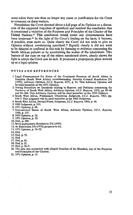same token there was then no longer any cause or justification for the Court to comment on these matters.

Nonetheless the Court devoted about a full page of its Opinion to a discussion of the supposed iniquities of apartheid and reached the conclusion that it constituted a violation of the Purposes and Principles of the Charter of the United Nations.<sup>19</sup> This conclusion would under any circumstances have been irrelevant.<sup>20</sup> In the light of the Court's finding on the facts, it became, if possible, even more so. Quite clearly the Court did not wish to give an Opinion without condemning apartheid.<sup>21</sup> Equally clearly it did not *want* to be delayed or confused in this task by listening to evidence concerning the South African policies or by ascertaining the wishes of the inhabitants. This feature of the case on top of the others mentioned above, clearly shows the light in which the Court saw its task. It produced a propaganda piece dressed up as a legal opinion.

#### NOTES AND REFERENCES

- 1. Legal Consequences for States of the Continued Presence of South Africa in Namibia (South West Africa) notwithstanding Security Council Resolution 276 (1970), Advisory Opinion, *l.CJ. Reports,* 1971, p. 16. This Advisory Opinion will be cited hereafter as the 1971 Opinion.
- 2. Voting Procedure on Questions relating to Reports and Petitions concerning the Territory of South West Africa, Advisory Opinion, *l.CJ, Reports,* 1955, pp. 85-86 and 99-100. This Advisory Opinion will be cited hereafter as the 1955 Opinion.
- 3. South West Africa, Preliminary Objections, Judgment, *l.CJ, Reports,* 1962, pp. 236-7. This judgment will be cited hereafter as the 1962 Judgment.
- 4. South West Africa, Second Phase, Judgment, *l.CJ. Reports,* 1966, p. 44.
- 5.1962 Judgment, p. 331.
- 6.1971 Opinion, p. 49.
- 7. International Status of South West Africa, Advisory Opinion, *l.CJ. Reports,* 1950, p. 137.
- 8.1955 Opinion, p. 76.
- *9.* 1971 Opinion, p. 50.
- 10. Ibid., p. 289.
- 11. More particularly Resolution 276 (1970).

12. As Resolution 276 (1970) purports to do.

13.1971 Opinion, p. 51-52.

14. Ibid.

15. Ibid. p. 52.

16. Ibid.

- 17. Ibid, p. 50.
- 18. Ibid, p. 21.

19. Ibid, p. 56-7.

- 20. The case was concerned with alleged breaches of the Mandate, not of the Purposes and Principles of the Charter.
- 21.1971 Opinion, p. 31.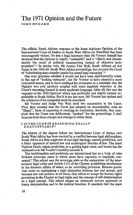### The 1971 Opinion and the Future JOHN DUGARD

The official South African response to the latest Advisory Opinion of the International Court of Justice on South West Africa (or Namibia)<sup>1</sup> has been extravagantly violent. No less a legal luminary than Mr Vorster himself has declared that the Opinion is legally "untenable" and is "clearly and demonstrably the result of political manoeuvring instead of objective jurisprudence".<sup>2</sup> In similar vein, Mr Justice Van Wyk, South African *ad hoc* Judge in the 1962-66 South West Africa proceedings, has accused the Court of "substituting mere mumbo-jumbo for sound legal reasoning".<sup>8</sup>

One may speculate whether it would not have been diplomatically wiser, in this age of "looking outwards", for Mr Vorster to have adopted a more restrained stance, and to have confined his comments to a reminder that the Opinion was *only* advisory coupled with some legalistic objection to the Court's reasoning framed in more moderate language. After all, this was the response to the 1950 Opinion<sup>4</sup> which was politically and legally equally unpalatable to South Africa. But it is too late now. Mr Vorster has spoken and the substance of his compaints must be examined.

Mr Vorster and Judge Van Wyk level two accusations at the Court. First, they contend that the Court has adopted an unacceptable, even an "illegal", form of reasoning in reaching its conclusion. Secondly, they complain that the Court was deliberately "packed" for the proceedings, I shall examine both these charges and attempt to refute them.

#### I IS THE COURT'S REASONING REALLY UNACCEPTABLE?

The history of the dispute before the International Court of Justice over South West Africa has been marked by a conflict between legal philosophies. South Africa is a firm supporter of one legal ideology, namely positivism, and a bitter opponent of natural law and sociological theories of law. The latest Opinion firmly rejects positivism as a guiding legal creed, and herein lies the explanation to Mr Vorster's hostility towards it.

The traditionalists and positivists see international law as a body of rules between sovereign states to which states have expressly or impliedly consented.<sup>8</sup> This school sees the sovereign state as the cornerstone of the international legal order and Article 2 (7) of the Charter, prohibiting interference in the domestic affairs of states, as an overriding provision. Because positivists insist on maintaining a rigid distinction between law and morals, and between law and politics, at all times, they refuse to accept the human rights provisions in the Charter as legal rights and the concept of self-determination as a legal concept. This school adopts an extremely narrow approach to treaty interpretation and to the judicial function. It contends that the main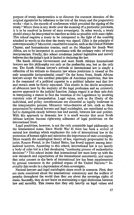purpose of treaty interpretation is to discover the common intention of the original signatories by reference to the text of the treaty and the preparatory works – that is, the records of conferences which preceded the signing of the treaty.<sup>6</sup> Where there is any doubt over the meaning of a particular provision, it is to be resolved in favour of state sovereignty. In other words, a treaty should always be interpreted to interfere as little as possible with state rights. This school requires a treaty to be interpreted in the light of the meaning attached to words at the time the treaty was signed, (This is the principle of contemporaneity.)<sup>7</sup> Moreover, constitutive.treaties, such as the United Nations Charter, and humanitarian treaties, such as the Mandate for South West Africa, are to be interpreted in accordance with the ordinary rules of treaty interpretation. Finally, this school condemns judicial legislation and naively believes that the judge's task is limited to declaring the law.

The South African Government and most South African international lawyers see this philosophy not only as the preferable one, but as the only one. The South African lawyer's attitude to international law is simply a reflection of his attitude to domestic law where positivism is viewed as the only acceptable jurisprudential creed.<sup>8</sup> On the home front, South African lawyers accept the two cardinal principles of Austinian positivism, that law is the command of a political superior to a political inferior and that law and morals must be firmly separated. This results in the docile acceptance of abhorrent laws by the majority of the legal profession and an extremely narrow approach to the judicial function. Judges regard it as their sole duty in interpreting a statute to find the intention of the Legislature by invoking statutory rules of interpretation. Legal values, such as the liberty of the individual, and policy considerations are discarded as legally irrelevant in the interpretative process. Moreover value-theories of law, such as those propounded by natural lawyers and legal sociologists, are repudiated as they fail to distinguish clearly between law and morals, between law and politics. With this approach to domestic law it is small wonder that most South African lawyers become right-wing adherents of legal positivism on the international front.

Legal positivism, however, is not the only acceptable legal philosophy on the international scene. Since World War II there has been a revival of natural law ideology which emphasises the role of international law in the protection of human rights and minimises the importance of state sovereignty. More recently the sociological theory of law, vigorously propounded by the jurist, Roscoe Pound, in the United States, has found support among international lawyers. According to this school, international law is not merely a body of rules but is a fast developing "continuing process of authoritative decisions".<sup>9</sup> This school insists that international law must keep up with the new standards and expectations of the international community, and argues that strict consent as the basis of international law has been supplemented by general consensus in the political organs of the United Nations.<sup>10</sup> Inevitably this results in a depreciation of state sovereignty.

Natural lawyers and legal sociologists share much in common. First, they are more concerned about the international community and the welfare of peoples throughout the world than they are about the sovereign rights of states. Secondly, they do not insist on maintaining a rigid distinction between law and morality. This means that they rely heavily on legal values and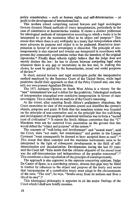policy consideration  $-$  such as human rights and self-determination  $-$  as guide to the development of international law.

This modern school comprising natural lawyers and legal sociologists favours dynamic liberal methods of treaty interpretation, particularly in the case of constitutive or humanitarian treaties. It shows a distinct preference for teleological methods of interpretation according to which a treaty is to be interpreted to give the maximum effect to its object and purpose.<sup>11</sup> This means that where there is any ambiguity in a treaty that interpretation which most advances its purpose and object is to be preferred. Restrictive interpretation in favour of state sovereignty is discarded. The principle of contemporaneity is also rejected and treaties are interpreted in accordance with present-day community expectations rather than the intention of the original signatories.<sup>12</sup> Finally these schools rightly believe that the judge does not merely declare the law: he has to choose between competing legal rules whenever there is any gap or uncertainty in the law and, in making this choice, he must be guided by the humanitarian, moral and social purposes of the law.<sup>18</sup>

In short, natural lawyers and legal sociologists prefer the interpretative method employed by the Supreme Court of the United States, while legal positivists model their approach on that of the Privy Council and, one may add, our own present Appellate Division.

The 1971 Advisory Opinion on South West Africa is a victory for the "new" international law and a defeat for the positivists. Teleological methods of interpretation triumphed over restrictive interpretation in favour of state sovereignty. This is clear from an analysis of the Court's reasoning.

At the outset, after rejecting South Africa's preliminary objections, the Court enunciates its view of the mandates system and identifies the system's objects, purposes and goals. It finds that the mandates system was founded on the principle of non-annexation and on the principle that the well-being and development of the peoples of mandated territories was to form a "sacred trust of civilization".<sup>14</sup> It rejects the South African contention that the "C" Mandates were not far removed from annexation on the ground that this would defeat the "object and purpose" of the system.<sup>15</sup>

The concepts of "well-being and development" and "sacred trust", said the Court, were "not static, but evolutionary" and parties to the League Covenant "must consequently be deemed to have accepted them as such".<sup>13</sup> This meant that these concepts and the mandates instruments were to be interpreted in the light of subsequent developments in the field of selfdetermination and decolonisation. Developments during the last 50 years said the Court left "little doubt that the ultimate objective of the sacred trust was the self-determination and independence of the peoples concerned".<sup>17</sup> This constitutes a clear repudiation of the principle of contemporaneity.

The approach is also apparent in the separate concurring opinions. Judge De Castro of Spain, in a convincing opinion, stresses that gaps may be filled in treaties by reference to the object and purpose of the treaty and warns that interpretation of a constitutive treaty must adapt to the circumstances of the time. "The text", he says, "breaks away from its authors and lives a life of its own".<sup>18</sup>

This teleological philosophy is apparent in all the major findings of the Court which I shall now briefly examine.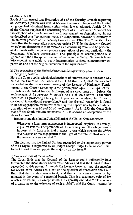#### *a) Article 27 (3)*

South Africa argued that Resolution 284 of the Security Council requesting an Advisory Opinion was invalid because the Soviet Union and the United Kingdom had abstained from voting when it was adopted. Article 27 (3) of the Charter requires the concurring votes of all Permanent Members for the adoption of a resolution and, so it was argued, an abstention could not be described as a "concurring" vote. This argument, however, is contrary to the uniform practice of the Security Council since 1946. The Court therefore finds that the interpretation placed on Article 27 (3) by the Security Council whereby an abstention is to be viewed as a concurring vote is to be preferred as it accords with the contemporary expectations of parties, particularly the Permanent Members themselves.<sup>19</sup> The principle of contemporaneity is ignored and the subsequent practice of States in the United Nations is taken into account as a guide to treaty interpretation to show contemporary expectation and not the original intention of the signatories.<sup>20</sup>

#### b) *The succession of the United Nations to the supervisory powers of the League of Nations*

Here the Court applies teleological methods of interpretation in the same way as did the Court of 1950 when it first held that the United Nations had succeeded to the supervisory powers of the League of Nations.<sup>21</sup> Fundamental to the Court's reasoning is the presumption against the lapse of "an institution established for the fulfilment of a sacred trust . . . before the achievement of its *purpose".<sup>22</sup>* Article 80 (1) of the Charter is therefore construed as preserving the rights of peoples in mandated territories to continued international supervision,<sup>28</sup> and the General Assembly is found to be the appropriate forum for exercising this supervision by the combined operation of Articles 80 and 10 of the Charter.<sup>24</sup> As in 1950, the Court finds that official South African statements in 1946 showed an acceptance of this state of affairs.<sup>26</sup>

In supporting this finding Judge Dillard of the United States declares:

Whenever a long-term engagement is interrupted, emphasis in attempting a reasonable interpretation of its meaning and the obligations it imposes shifts from a textual analysis to one which stresses the *object and purpose* of the engagement in the light of the total context in which the engagement was located.<sup>26</sup>

The finding that the United Nations succeeded to the supervisory powers of the League is supported by all judges except Judge Fitzmaurice.<sup>27</sup> Even Judge Gros of France supports the majority on this issue.<sup>28</sup>

#### c) *The revocation of the mandate*

The Court finds that the Council of the League could unilaterally have terminated the mandate for South West Africa and that the United Nations succeeded to this power. Although the League Covenant and the mandate for South West Africa are silent on the question of revocation the Court finds that the mandate was a treaty and that a treaty may always be terminated in the event of a material breach. This is a customary rule of law which must be implied except where it is expressly excluded.<sup>29</sup> "The silence of a treaty as to the existence of such a right", said the Court, "cannot be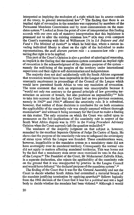mterpreted as implying the exclusion of a right which has its source outside of the treaty, in general international law".<sup>50</sup> The finding that there is an implied right of revocation in the mandate was supported by members of the Permanent Mandates Commission and by most commentators on the mandates system.<sup>81</sup> Looked at from the point of view of interpretation this finding accords with our own rule of statutory interpretation that this legislature is presumed not to alter the existing common law.<sup>32</sup> nOe may even compare the Court's reasoning with that of Williamson JA in *SA Defence and Aid Fund* v *The Minister of Justice\*<sup>3</sup>* in which he held that, where a statute invading individual liberty is silent on the right of the individual to make representations, the *audi alteram partem* rule - a common-law rule - protecting that right is to be implied.

This part of the Court's Opinion is also a product of teleological reasoning, as implicit in the finding that the mandates system contained an implied right of revocation is the acknowledgment of the ultimate purpose of the system namely the well-being of the peoples of the territory under international supervision and their right to self-determination and independence.

The majority does not deal satisfactorily with the South African argument that revocation would have been impossible in the League era because of the unanimity requirement in proceedings of the Council of the League which would have permitted South Africa to veto any resolution of revocation. The terse comment that such an argument was unacceptable because it "would not only run contrary to the general principle of law governing termination on account of breach, but also postulate an impossibility"<sup>34</sup> fails to take into account the fact that the Court had on two previous occasions, namely in 1962<sup>s5</sup> and 1966,<sup>86</sup> affirmed the unanimity rule. It is submitted, however, that neither of these decisions is conclusive for on both occasions the applicability of the unanimity rule was simply assumed without thorough examination<sup>37</sup> and without it being necessary for the Court to make a finding on this matter. The only occasion on which the Court was called upon to pronounce on the full implications of the unanimity rule in respect of the South West Africa dispute was in 1955 in the *Voting Procedure* Advisory Opinion when the Court expressly left the question undecided.<sup>38</sup>

The weakness of the majority judgment on that subject is, however, remedied by the excellent Separate Opinion of Judge De Castro of Spain. He shows that the purpose of the unanimity rule was to safeguard the sovereignty of states upon which the League was founded. These considerations were, however, inapplicable to the mandates system as a mandatory state did not have sovereignty over its mandated territory. Consequently the normal veto did not apply to matters affecting mandated territories. This was borne out by the fact that a mandatory state never once exercised its veto in the days of the League.<sup>89</sup> The President of the Court, Sir Muhammad Zafrulla Khan, in a separate declaration, also rejects the applicability of the unanimity rule on the ground that it was unsupported by practice in the League Council and would have defeated "the declared purpose of the mandates system".<sup>40</sup>

The finding of the Court that it was for the General Assembly and not the Court to decide whether South Africa had committed a material breach of the mandate justifying termination by applying *apartheid\*<sup>1</sup>* follows logically from the 1966 decision of the Court that it was for a *political* and not a legal body to decide whether the mandate had been violated.<sup>42</sup> Although it would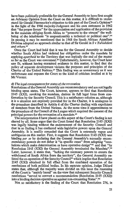have been *politically* preferable for the General Assembly to have first sought an Advisory Opinion from the Court on this matter, it is difficult to understand Sir Gerald Fitzmaurice's objection to this part of the Court's Opinion<sup>48</sup> in the light of the 1966 majority-Judgment and his own statement in 1962 that "the proper forum" for the appreciation and application of the provision in the mandate obliging South Africa to "promote to the utmost" the wellbeing of the inhabitants "is unquestionably a technical or political one".<sup>44</sup> In passing it may be mentioned that in 1968 the South African Appellate Division adopted an approach similar to that of Sir Gerald in *S* v *Tuhadeleni and others.<sup>45</sup>*

Once the Court had held that it was for the General Assembly to decide whether South Africa had violated her obligations under the mandate by applying *apartheid* to the Territory that was logically the end of the matter as far as the Court was concerned.<sup>46</sup> Unfortunately, however, the Court later saw fit, without having examined evidence in this matter, to find that the policy of separate development violates the purposes and principles of the Charter of the United Nations.<sup>47</sup> This finding was as unnecessary as it was unfortunate and exposes the Court to the kind of criticism levelled at it by Mr Vorster.

#### d) *The legal consequences for states of the revocation*

Resolutions of the General Assembly are recommendatory and are not legally binding upon states. The Court, however, appears to find that Resolution 2145 (XXI), revoking the mandate, derives its full legal force from confirmation by the Security Council. This is a satisfactory solution as, although it is a situation not expressly provided for in the Charter, it is analagous to the procedure described in Article 6 of the Charter dealing with expulsions of members from the United Nations. At the same time it approximates to the procedure of the Council of the League which required the consent of the principal powers for the revocation of a mandate.<sup>48</sup>

The interpretation I have placed on this aspect of the Court's finding is not shared by all. Some argue that the Court found that Resolution 2145 (XXI) was legally binding without the endorsement of the Security Council and that in so finding it has conferred wide legislative powers upon the General Assembly. It is readily conceded that the Court is extremely vague and ambiguous on this matter. First, it suggests that Resolution 2145 (XXI) was binding *per se* by declaring that the General Assembly's normally recommendatory powers do not debar it "in specific cases" from adopting "resolutions which make determination or have operative design"<sup>49</sup> and that "by Resolution 2145 (XXI) the General Assembly terminated the Mandate".<sup>50</sup> Later, however, it states that, "lacking the necessary powers to ensure the withdrawal of South Africa from the territory", the General Assembly enlisted the co-operation of the Security Council<sup>61</sup> which implies that Resolution 2145 (XXI) obtained its full effect from the combined operation of the resolutions of both political bodies. In his separate opinion, Judge Dillard states that, although the majority were divided on this issue the reasoning of the Court is "mainly based" on the view that subsequent Security Council resolutions "served to convert a recommendation (Resolution 2145 (XXI)) into a binding decision operative as against non-consenting States".<sup>52</sup>

Not so satisfactory is the finding of the Court that Resolution 276, in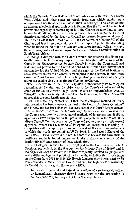which the Security Council directed South Africa to withdraw from South West Africa, and other states to refrain from acts which might imply recognition of South Africa's administration, is binding.<sup>63</sup> The Court adopts an extreme teleological approach here in finding that the Council has implied powers not expressly conferred upon it in the Charter to take binding resolutions in situations other than those provided for in Chapter VII (i.e. in situations adjudged by the Security Council to threaten international peace). The better view is that Resolution 276 has its source in Chapter VI of the Charter and is only recommendatory. In this respect I prefer the dissenting views of Judges Petrén<sup>54</sup> and Onyeama<sup>55</sup> that states are only obliged to apply the customary rules of non-recognition to South Africa's administration of South West Africa.

Although I disagree with the Court I would not describe this finding as totally unacceptable. In many respects it resembles the 1949 decision of the Court in the *Reparations for Injuries Case,<sup>59</sup>* in which the Court attributed wide implied powers to the United Nations when it found that international personality for the United Nations and the right of the United Nations to sue a state for injury to an official were implied in the Charter. In both these cases the Court has resorted to far-reaching teleological methods of interpretation designed to give the maximum effect to the Charter.

The major feature of the Court's Opinion is undoubtedly its teleological reasoning. As I understand the objections to the Court's Opinion raised by some of the South African "legal team" this is an impermissible, even an "illegal", method of treaty interpretation. In their view, the strict, formalist approach is the only legally tenable one.

But is this so? My contention is that the teleological method of treaty interpretation has been employed in most of the Court's Advisory Opinions" and is now, and has been since 1946, a basic part of the Court's jurisprudence.

In its 1950,<sup>88</sup> 1955<sup>59</sup> and 1956<sup>60</sup> Advisory Opinions on South West Africa the Court relied heavily on teleological methods of interpretation. It did so again in its 1962 Judgment on the preliminary objections in the *South West Africa Cases.<sup>61</sup>* On that occasion the Court refused to apply a strictly textual approach "where such a method of interpretation results in a meaning incompatible with the spirit, purpose and context of the clause or instrument in which the words are contained".<sup>62</sup> In 1966, in the Second Phase of the *South West Africa Cases\*\** it did not, but that was because the formalists or positivists suddenly found themselves in the majority as a result of the  $\mu$ besh rists bacterily found themselves in the m

The teleological method has been employed by the Court in other notable Opinions, particularly in the *Reparations for Injuries Case* of 1949<sup>67</sup> and in the *Expenses Case* of 1962.<sup>68</sup> It has been frequently invoked by judges with vastly differing, legal and political backgrounds, including the British judge on the Court from 1955 to 1959, Sir Hersch Lauterpacht.<sup>69</sup> It was used by Sir Percy Spender, in the *Expenses Case,<sup>70</sup>* and even the high priest of textuality. Sir Gerald Fitzmaurice, had this to say in 1963:

In the case of general multilateral conventions of a sociological, welfare or humanitarian character there is some room for the application of certain specifically teleological criteria of interpretation.<sup>71</sup>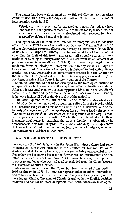The matter has been well summed up by Edward Gordon, an American commentator, who, after a thorough examination of the Court's method of interpretation wrote in 1965:

Teleological consistency may be expected as a norm for judges whose fondness for social justice exceeds their fondness for legal neatness, but what may be surprising is that end-oriented interpretation has been accepted by all but a handful of judges.<sup>72</sup>

The legitimacy of the teleological method of interpretation has not been affected by the 1969 Vienna *Convention* on the Law of Treaties.<sup>78</sup> Article 31 of that Convention expressly directs that a treaty be interpreted "in the light of its object or purpose". Although the International Law Commission, in compiling the draft of this treaty, expressed itself strongly against *extreme* methods of teleological interpretation,<sup>74</sup> it is clear from its endorsement of purpose-oriented interpretation in Article 31 that it was not opposed to more moderate forms of teleological interpretation.<sup>75</sup> In any event, as Judge De Castro points out,<sup> $76$ </sup> the Vienna Convention is designed to deal with ordinary treaties, not great constitutive or humanitarian treaties like the Charter or the mandate. Here special rules of interpretation apply, as revealed by the consistent practice of the Court in its interpretation of the Charter.

South Africans should not be too dismayed by the teleological method of interpretation which seeks to give the maximum effect to treaties or statutes. After all, it was employed by our own Appellate Division in the two *Harris* cases of the 1950s<sup>77</sup> and by Schreiner JA in the *Senate Case*<sup>78</sup> – a dissenting judgment which I still find preferable to that of the majority.

The latest Opinion of the International Court cannot be described as a model of perfection and much of its reasoning suffers from the brevity which has characterised past decisions of the Court.<sup>79</sup> This is, however, one of the hazards of a large Court with judges drawn from different legal cultures who "can *more* easily reach an agreement *on* the disposition of the dispute than on the grounds for the disposition".<sup>80</sup> On the other hand, despite these inevitable weaknesses in reasoning, the Court's Opinion is substantially in accordance with its own jurisprudence and those who deny this simply show their own lack of understanding of modern theories of jurisprudence and ignorance of past decisions of the Court.

#### II WAS THE COURT"PACKED"FOR 1971?

Undoubtedly the 1966 Judgment in the *South West Africa Cases* had some influence on subsequent elections to the Court.<sup>81</sup> Sir Kenneth Bailey of Australia and Antonio de Luna of Spain were probably unsuccessful in the November 1966 elections because the former was an Australian<sup>82</sup> and the latter the national of a colonial power.<sup>83</sup> Otherwise, however, it is impossible to point to any judge who was included or excluded from the Court because of his views on Southern Africa.

African representation on the Court has been increased from one<sup>84</sup> in 1966 to three<sup>85</sup> in 1971. But African representation in other international bodies has also been increased in the past few years. In any event, one of these judges, Charles Onyeama of Nigeria, is trained in the English positivist tradition and should be more acceptable than Latin-American teleologists,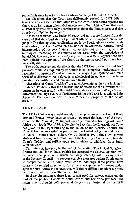particularly since he voted for South Africa on many of the issues in 1971.

The allegation that the Court was deliberately packed for 1971 fails to take into account the fact that after 1966 the Afro-Asian States rejected the Court as an instrument of social change in South West Africa,<sup>80</sup> and that even in 1970 they were extremely unenthusiastic about the Finnish proposal that an Advisory Opinion be sought.<sup>87</sup>

It is to be regretted that Judge Morozov did not recuse himself from the case and that the Court did not permit South Africa to appoint an *ad hoc* judge.<sup>88</sup> In rejecting these applications made by South Africa relating to its composition, the Court erred on the side of an extremely narrow, literal interpretation of its own Statute – completely out of keeping with its teleological reasoning on the merits of the case. With the knowledge of handsight, however, one can safely say that even if these applications had been upheld, the Opinion of the Court on the merits would not have been materially different.

The truth, however unpalatable, is that the 1971 Court is no different from previous courts. As required by its Statute it still comprises "jurisconsults of recognised competence" and represents the major legal systems and main form of civilisation.<sup>89</sup> As before, it is teleological in outlook in the interpretation of constitutive and humanitarian treaties.

Allegations of Court "packing" are as unfortunate as they are lacking in substance. Politically this is an unwise line of attack for the Government to pursue as its own record in this field is not above criticism. Who, after all, introduced the High Court of Parliament Bill in 1952 and later enlarged the Appellate Division from five to eleven<sup>90</sup> for the purposes of the Senate case?<sup>91</sup>

#### THE FUTURE

The 1971 Opinion was sought mainly to put pressure on the United Kingdom and France (which have consistently opposed the legality of the revocation of the Mandate) to support Security Council action against South Africa over South West Africa. Despite the fact that the International Court has given its full legal blessing to the action of the Security Council, the Council has not succeeded in persuading the United Kingdom and France to adopt a more activist policy. On 20 October 1971, these two powers abstained from voting on a resolution of the Security Council accepting the Court's Opinion and calling upon South Africa to withdraw from South West Africa.<sup>92</sup>

This will not, however, be the end of the matter. The United Kingdom, France and the United States (which has accepted the Court's Opinion) will be under new pressure - which can only intensify with Peking seated in the Security Council - to support coercive measures against South Africa to compel her to leave South West Africa. Although these powers have consistently resisted attempts to force them to support enforcement action against South Africa in the past, they will find it difficult to adopt a purely negative attitude on this matter in the future.

In these circumstances there is an urgent need for statesmanship on the part of the political leaders of South Africa and her trade partners. The *status quo* is fraught with potential dangers, as illustrated by the 1971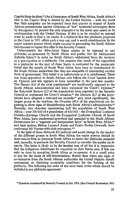Caprivi Strip incident.\* (As it forms part of South West Africa, South Africa's title to the Caprivi Strip is denied by the United Nations - with the result that little sympathy can be expected from that quarter in respect of South African protestations against violations of "her" territorial sovereignty there by insurgents.) At present the only alternative to the *status quo* seems to be confrontation with the United Nations. If this is to be avoided an attempt must be made to find a *via media.* It is believed that the plebiscite proposed to the Court in 1971 offers such a way out, and is worth consideration by the major western powers which might succeed in persuading the South African Government to repeat this offer to the Security Council.

Unfortunately the Afro-Asian States appear to be opposed to any plebiscite co-sponsored by South Africa and prefer, like Sir Muhammad Zafrulla Khan,<sup>93</sup> to insist on South Africa's withdrawal from the territory as a pre-requisite to a plebiscite. One suspects that much of the opposition to a plebiscite on the part of these States is motivated by the pessimistic belief that the people of South West Africa have been so brainwashed by the South African authorities that they are incapable of considering another form of government. This belief is as unfortunate as it is uninformed. There was local opposition to South African rule before the Court handed down its Opinion and this appears to have intensified in the past few months. The Herero *(6,6* of the total population)<sup>9</sup> \* are traditionally opposed to the South African administration and have welcomed the Court's Opinion;<sup>86</sup> the Rehoboth Basters (2,2 of the population) have appealed to the Security me remotour basics (2,2 of the population) have appeared to the becurity<br>Council to implement the Court's decision:<sup>90</sup> the Damara (8.7 of the popu- $\alpha$  and the proposition and  $\alpha$  count succession, the Damara  $(\alpha, r)$  of the populargest group in the territory, the Ovambo (45,9 of the population) are beginning to show signs of dissatisfaction with South Africa's administration." Recently, two churches representing half the population of South West Africa – over 300 000 of a population of  $610\,000$  – the Evangelical Lutheran Ovambo-Kavango Church and the Evangelical Lutheran Church of South West Africa, have condemned *apartheid* and appealed to the South African Government for a "separate and independent State" in South West Africa,<sup>89</sup> and their leaders, Bishop Leonard Auala and Pastor Paulus Gowaseb, have and their leaders, Bishop Leonard Auala and<br>confronted Mr Vorsterwith their grievances.100

In the light of these demands for political and social change by the leaders of the different groups in South West Africa, the major powers should do their utmost first, to persuade South Africa to revive her plebiscite proposal and, secondly, to persuade the Security Council to consider the matter on its merits. The latter is likely to be the hardest task of all but it is imperative that the indigenous inhabitants be consulted on their future and, if this can only be done by accepting South Africa as co-sponsor, it is a small price to pay for the cause of self-determination. Rather than reject any signs of co-operation from the South African authorities the United Nations should concentrate on obtaining acceptable conditions for the holding of the plebiscite. The following are some of the most basic terms which should be included in any plebiscite agreement:

\* Question considered by Security Council in Oct. 1971. (See Council Resolution 300.)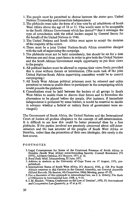- 1. The people must be permitted to choose between the *status quo,* United Nations Trusteeship and immediate independence.
- 2. The plebiscite must take the form of a free vote by all inhabitants of South West Africa above the age of 18 or 21. This would seem to be acceptable to the South African Government which has denied<sup>101</sup> that it envisages the type of consultation with the tribal leaders staged by General Smuts for the benefit of the United Nations in 1946.
- 3. The United Nations and South Africa must agree to accept the decision of the majority of the voters.
- 4. There must be a joint United Nations-South Africa committee charged with the task of supervising the campaign.
- 5. The plebiscite must not be held immediately, but should be set for a date between one and three years hence in order to give both the United Nations and the South African Government ample opportunity to put their views to the people.
- 6. All political leaders must be allowed to express their views freely provided this is done without threats or intimidation. (The main task of the joint United Nations-South Africa supervising committee would be to control campaigning.)
- 7. All South West African political prisoners must be released and exiles permitted to return to enable them to participate in the campaigning which would precede the plebiscite.
- 8. Consultations must be held between the leaders of all groups in South West Africa to enable them to discuss their future and to formulate the alternatives to be placed before the people. (For instance, if immediate independence is preferred by some leaders, it would be essential to decide in advance whether a federal or unitary form of government were envisaged.)

The Government of South Africa, the United Nations and the International Court of Justice all profess allegiance to the concept of self-determination. It is difficult to see how this could be better promoted than by a free plebiscite. If the parties involved are genuinely concerned about self-determination and the best interests of the peoples of South West Africa or Namibia, rather than the promotion of their own ideologies, this surely is the best course.

#### FOOTNOTE S

- 1. Legal Consequences for States of the Continued Presence of South Africa in Namibia (South West Africa) notwithstanding Security Council Resolution 276 (1970), Advisory Opinion, *1CJ Reports,* 1971, p. 16.
- 2. *Rand Daily Mail,* Johannesburg, 22 June, 1971.
- 3. Address to students at the University of Cape Town on 17 August, 1971, (unpublished).
- 4. International Status of South West Africa, *ICJ Reports,* 1950, p. 128. For South Africa's response to this Opinion in the General Assembly, see *General Assembly Official Records,* 5th Session, 4th Committee, 196th Meeting, paras. 47-52.
- 5. For a discussion of this approach to international law, see J. L. Brierly, *The Basis of Obligation in International Law,* 1958, p. 9-18.
- 6.1. M. Sinclair, "Vienna Conference on the Law of Treaties", 1970,19, *International and Comparative Law Quarterly,* p. 47 at p. 61.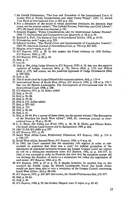- 7. Sir Gerald Fitzmaurice, "The Law and Procedure of the International Court of Justice 1951-4. Treaty Interpretation and other Treaty Points", 1957, 33, *British Year Book of International Law, p.* 203 at p. 225.
- *8.* For a discussion of the extent to which positivism dominates the domestic legal scene, see the present writer's "The Judicial Process, Positivism and Civil Liberty", 1971,88, *South African Law Journal,* p. 181.
- 9. Rosalyn Higgins, "Policy Considerations and the International Judicial Process", 1968,17, *International and Comparative Law Quarterly,* p. 58 at p. 59.
- 10. Richard A. Falk, *The Status of Law in International Society,* 1970, p. 19-23.
- 11. Fitzmaurice, note 7 supra, at p. 225.
- 12. Edward Gordon, "The World Court and Interpretation of Constitutive Treaties", 1965,59, *American Journal of International Law,* p. 794 at p. 827-832.
- 13. Higgins, note 9 supra, at p. 62.
- 14./C/ *Reports,* 1971, p. 28. In this respect the Court endorses its 1950 finding: *ICJ Reports,* 1950, p. 131.
- 15. *ICJ Reports,* 1971, p. 28, p. 30.
- 16. Ibid, p. 31.
- 17. Loc cit.
- 18. Ibid, p. 184, citing Judge Alvarez in *ICJ Reports,* 1950, p. 18. See, too, the separate opinions of Judges Ammoun (ibid, p. 72), Nervo (ibid, p. 112) and Dillard (ibid, p. 157). Sed contra, see the positivist approach of Judge Fitzmaurice (ibid, p. 220-224).
- 19. Ibid, p. 22.
- 20. This is made clear by Judge Dillard in his separate opinion, ibid, p. 153-4.
- 21. International Status of South West Africa, *ICJ Reports,* 1950, p. 128 at p. 136-7. See, too, Sir Hersch Lauterpacht, *The Development of International Law by the International Court,* 1958, p. 280.
- 22. *ICJ Reports,* 1971, p. 32. Italics added.
- 23. Ibid, p. 33-35.
- 24. Ibid, p. 36-38.
- 25. Ibid, p. 39^10.
- 26. Ibid, p. 157. Italics added.
- 27. Ibid, p. 227-263.
- 28. Ibid, p. 335.
- 29. Ibid, p. 46-48.
- 30. Ibid, p. 47.
- 31. Ibid, p. 48-49. For a survey of these views, see the present writer's "The Revocation of the Mandate for South West Africa", 1968, 62, *American Journal of International Law,* p. 78 at p. 85-86.
- 32. L. C. Steyn, *Die Vitleg van Wette* 1963, p. 96; H. R. Hahlo and Ellison Kahn, *The South African Legal System and its Background,* 1968, p. 202.
- 33.1967 (1) SA 263 (AD) at p. 277.
- 34. *ICJ Reports,* 1971, p. 49.
- 35. South West Africa Cases, Preliminary Objections, *ICJ Reports,* 1962, p. 319 at p. 336-337.
- 36. South West Africa, Second Phase, *ICJ Reports,* 1966, p. 6 at p. 46.
- 37. In 1962, the Court assumed that the unanimity *rale applied* in order to substantiate its argument that there was a need for judicial protection of the inhabitants of mandated territories because the League Council could not impose its will on a delinquent mandatory state: *ICJ Reports,* 1962, at p. 336-337. In 1966, it was assumed in order to illustrate the view that the mandates system did not envisage the dictation of terms to a mandatory but rather the negotiation of such terms: *ICJ Reports,* 1966, at p. 46.
- 38. *ICJ Reports,* 1955, p. 67 at p. 74. It should, however, be recalled that on this occasion the British Judge, Sir Hersch Lauterpacht, found that South Africa would not have been able to veto a resolution of the League Council concerning South West Africa: ibid p. 98-106.
- 39. *ICJ Reports,* 1971, p. 199-207. Sed contra, Sir Gerald Fitzmaurice ibid, 272-277.

- 41. Ibid, p. 49.
- 42. *ICJ Reports,* 1966, p. 29. See further, Dugard, note 31 supra, at p. 81-82.

<sup>40.</sup> Ibid, p. 60-61.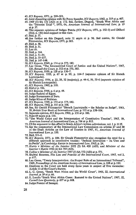43.*ICJ Reports,* 1971, p. 299-301.

- 44. Joint dissenting opinion with Sir Percy Spender, *ICJ Reports,* 1962, p. 319 at p. 467.
- 45.1969 (1) SA 153 (AD) at p. 172. See, further, Dugard, "South West Africa and the 'Terrorist Trial'", 1970, 64, *American Journal of International Low,* p, 19 at p. 37.
- 46. The separate opinions of Judges Petren *(ICJ Reports,* 1971, p. 132-3) and Dillard (ibid, p. 150) lend support to this view.
- 47. Ibid, p. 57.
- 48. See further on this Dugard, note 31 supra at p. 96. Sed contra, Sir Gerald Fitzmaurice, *ICJ Reports,* 1971, p. 283.
- 49. Ibid, p. 50.
- 50. Ibid, p. 51.

51. Loc cit.

- 52. Ibid, p. 164.
- 53. Ibid, p. 51-54.
- 54. Ibid, p. 33-137.
- 55. Ibid, p. 147-148.
- 56. *ICJ Reports,* 1949, p. 174 at p. 179,182.
- 57. Leo Gross, "The International Court of Justice and the United Nations", 1967, 120, *Recueil des Cours,* p. 312 at p. 370,385.
- 58. *ICJ Reports,* 1950, p. 128 at p. 136-7.
- 59. *ICJ Reports,* 1955, p. 67 at p. 99, p. 104-5 (separate opinion of Sir Hersch Lauterpacht).
- 60. *ICJ Reports,* 1956, p. 22, 28, 32 (majority), p. 44-€, 50, 55-6 (separate opinion of Sir Hersch Lauterpacht).
- 61. *ICJ Reports,* 1962, p. 318.
- 62. Ibid at p. 336.
- 63. *ICJ Reports,* 1966, p. 6 at p. 48.
- 64. Judge Badawi of Egypt.
- 65. Judge Bustamante of Peru.
- 66. Judge Khan of Pakistan.
- 67. *ICJ Reports,* 1949, p. 174 at p. 179,182.
- 68. *ICJ Reports,* 1962, p. 151 at p. 168.
- 69. See, Sir Gerald Fitzmaurice "Hersch Lauterpacht the Scholar as Judge", 1963, 39, *British Year Book of International Law,* p. 133 at p. 158-164.
- 70. Separate opinion, *ICJ Reports,* 1962, p. 151 at p. 186.
- 71. Note 69 supra at p. 139.
- 72. "The World Court and the Interpretation of Constitutive Treaties", 1965, 59, *American Journal of International Law,* p. 794 at p. 815.
- 73. Cf the argument to this effect in South Africa's written submissions, vol. 1 p. 11 ff.
- 74. See the commentary of the International Law Commission on articles 27 and 28 of the Draft Articles on the Law of Treaties in 1967, 61, *American Journal of International Law,* p. 350.
- 75. Ibid, 351-2.
- 76. *ICJ Reports,* 1971, p. 184. Sir Gerald Fitzmaurice also recognises the need for a different approach to constitutive treaties: "Judicial Innovation - Its Uses and its Perils", in *Cambridge Essays in International Law,* 1965, p. 24.
- 77. *Harris* v *Minister of the Interior* 1952 (2) SA 428 (AD), and *Minister of the Interior* v *Harris* 1952 (4) SA 769 (AD).
- 78. *Collins* v *Minister of the Interior* 1957 (1) SA 552 (AD) at p. 571.
- 79. Shabtai Rosenne, *The Law and Practice of the International Court,* 1965, vol 2, p. 617.
- 80. Leo Gross, "Treaty Interpretation: the Proper Role of an International Tribunal", 1969, *Proceedings of the American Society of International Law,* p. 108 at p. 110.
- 81. Elections to the Court are held every three years in respect of five vacancies: Article 13 of the Court's Statute.
- 82. L. C. Green, "South West Africa and the World Court", 1966, 22, *International Journal,* p. 39 at p. 66.
- 83. E. Landis "South West Africa Cases: Remand to the United Nations", 1967, 52, *Cornell Law Quarterly,* p. 627 at p. 668.
- 84. Judge Forster of Senegal.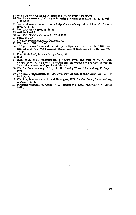- 85. Judges Forster, Onyeama (Nigeria) and Ignacio-Pinto (Dahomey).
- 86. See the statements cited in South Africa's written submissions of 1971, vol 1, p. 129-130.
- 87. See the statements referred to in Judge Onyeama's separate opinion, *ICJ Reports,* 1971, p. 141-2.
- 88. See *ICJ Reports,* 1971, pp. 18-19.
- 89. Articles 2 and 9.
- 90. Appellate Division Quorum Act 27 of 1955.
- 91. Supra note 78.
- 92. *The Star,* Johannesburg, 21 October, 1971.
- 93. *ICJ Reports,* 1971, p. 65-66.
- 94. This percentage figure and the subsequent figures are based on the 1970 census figures: *Statistical News Release,* Department of Statistics, 23 September, 1971, No. 64.
- 95. *Rand Daily Mail,* Johannesburg, 6 July, 1971.
- 96. Ibid.
- 97. *Rand Daily Mail,* Johannesburg, 5 August, 1971. The chief of the Damara, Dawid Goroseb, is reported as saying that his people did not wish to become involved in international politics at this stage.
- 98. *The Star,* Johannesburg, 13 August, 1971. *Sunday Times,* Johannesburg, 22 August, 1971.
- 99. *The Star,* Johannesburg, 19 July, 1971. For the text of their letter, see 1971, 15 *Sash.no.* 2, p. 15.
- 100. *The Star,* Johannesburg, 18 and 20 August, 1971. *Sunday Times,* Johannesburg, 22 August, 1971.
- 101. Plebiscite proposal, published in 10 *International Legal Materials* 417 (March 1971).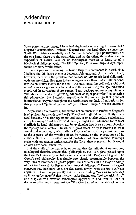### Addendum

E. M. GROSSKOPF

Since preparing my paper, I have had the benefit of reading Professor John Dugard's contribution. Professor Dugard sees the legal dispute concerning South West Africa essentially as a conflict between legal philosophies. On the one hand, there are the positivists, and on the other, those described as supporters of natural law, or of sociological theories of Law, or of a teleological philosophy, etc. The 1971 Opinion, Professor Dugard says, represented a victory for the latter.

I do not propose traversing Professor Dugard's comments in detail, since I believe that his basic theme is demonstrably unsound. At the outset, I am, however, faced with the problem that he does not define his legal philosophy with any precision. He seems to be saying no more than that in international law the ends may justify the means - the ends being the political, social and moral causes sought to be advanced, and the means being the legal reasoning employed in advancing those causes. I am perhaps exposing myself as a "traditionalist" and a "right-wing adherent of legal positivism" in rejecting this philosophy, but I comfort myself with the knowledge that practical international lawyers throughout the world share my lack of enthusiasm for this process of "judicial legislation" (as Professor Dugard himself describes it).

At present I am, however, concerned not so much with Professor Dugard's legal philosophy as with the Court's. The Court itself did not (explicitly at any rate) base any of its findings on natural law, or on a teleological, sociological, etc., philosophy.<sup>1</sup> Had the Court done so, it might have advanced (or at least clarified) its legal philosophy, e.g. by explaining how it sets about choosing the "policy consideration" to which it gives effect, or by indicating to what extent and according to what criteria it gives effect to policy considerations at the expense of the wording of an instrument or the expectations of its authors. Such an exposition would probably not have imbued sovereign states with any greater enthusiasm for the Court than at present, but it would at least have been instructive.

But the truth of the matter is, of course, that the talk about natural law, teleological theories, sociological philosophies, etc., is a gloss placed upon the Court's Opinion by well-disposed academics like Professor Dugard. The Court's real philosophy is a simple one, clearly ascertainable between the very lines of Professor Dugard's paper. Thus, whereas all the major findings of the Court are said to display a "teleological philosophy", Professor Dugard concedes that the Court "does not deal satisfactorily" with the South African argument on one major point;<sup>2</sup> that a major finding "was as unnecessary as it was unfortunate":<sup>3</sup> that another major finding was "not so satisfactory" and displays "an extreme teleological approach";\* and, finally, that in decisions affecting its composition "the Court erred on the side of an ex